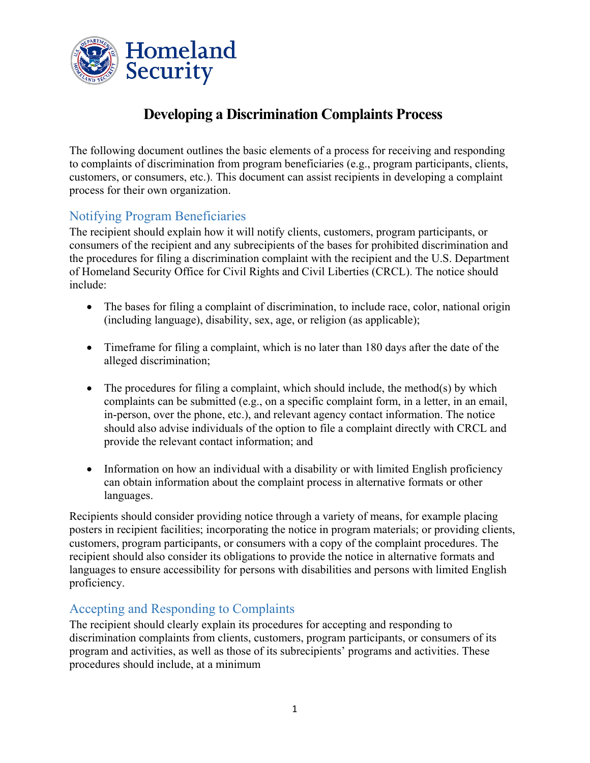

# **Developing a Discrimination Complaints Process**

The following document outlines the basic elements of a process for receiving and responding to complaints of discrimination from program beneficiaries (e.g., program participants, clients, customers, or consumers, etc.). This document can assist recipients in developing a complaint process for their own organization.

## Notifying Program Beneficiaries

The recipient should explain how it will notify clients, customers, program participants, or consumers of the recipient and any subrecipients of the bases for prohibited discrimination and the procedures for filing a discrimination complaint with the recipient and the U.S. Department of Homeland Security Office for Civil Rights and Civil Liberties (CRCL). The notice should include:

- The bases for filing a complaint of discrimination, to include race, color, national origin (including language), disability, sex, age, or religion (as applicable);
- Timeframe for filing a complaint, which is no later than 180 days after the date of the alleged discrimination;
- The procedures for filing a complaint, which should include, the method(s) by which complaints can be submitted (e.g., on a specific complaint form, in a letter, in an email, in-person, over the phone, etc.), and relevant agency contact information. The notice should also advise individuals of the option to file a complaint directly with CRCL and provide the relevant contact information; and
- Information on how an individual with a disability or with limited English proficiency can obtain information about the complaint process in alternative formats or other languages.

Recipients should consider providing notice through a variety of means, for example placing posters in recipient facilities; incorporating the notice in program materials; or providing clients, customers, program participants, or consumers with a copy of the complaint procedures. The recipient should also consider its obligations to provide the notice in alternative formats and languages to ensure accessibility for persons with disabilities and persons with limited English proficiency.

## Accepting and Responding to Complaints

The recipient should clearly explain its procedures for accepting and responding to discrimination complaints from clients, customers, program participants, or consumers of its program and activities, as well as those of its subrecipients' programs and activities. These procedures should include, at a minimum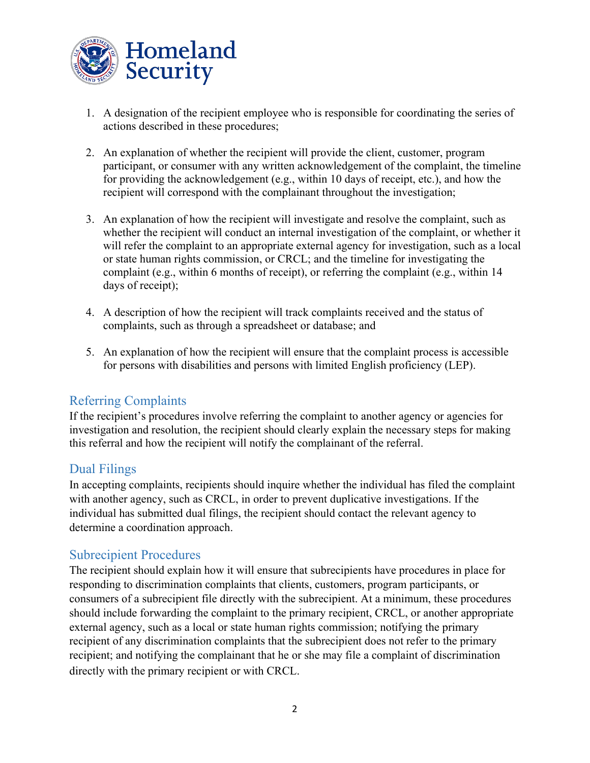

- 1. A designation of the recipient employee who is responsible for coordinating the series of actions described in these procedures;
- 2. An explanation of whether the recipient will provide the client, customer, program participant, or consumer with any written acknowledgement of the complaint, the timeline for providing the acknowledgement (e.g., within 10 days of receipt, etc.), and how the recipient will correspond with the complainant throughout the investigation;
- 3. An explanation of how the recipient will investigate and resolve the complaint, such as whether the recipient will conduct an internal investigation of the complaint, or whether it will refer the complaint to an appropriate external agency for investigation, such as a local or state human rights commission, or CRCL; and the timeline for investigating the complaint (e.g., within 6 months of receipt), or referring the complaint (e.g., within 14 days of receipt);
- 4. A description of how the recipient will track complaints received and the status of complaints, such as through a spreadsheet or database; and
- 5. An explanation of how the recipient will ensure that the complaint process is accessible for persons with disabilities and persons with limited English proficiency (LEP).

## Referring Complaints

If the recipient's procedures involve referring the complaint to another agency or agencies for investigation and resolution, the recipient should clearly explain the necessary steps for making this referral and how the recipient will notify the complainant of the referral.

#### Dual Filings

In accepting complaints, recipients should inquire whether the individual has filed the complaint with another agency, such as CRCL, in order to prevent duplicative investigations. If the individual has submitted dual filings, the recipient should contact the relevant agency to determine a coordination approach.

#### Subrecipient Procedures

The recipient should explain how it will ensure that subrecipients have procedures in place for responding to discrimination complaints that clients, customers, program participants, or consumers of a subrecipient file directly with the subrecipient. At a minimum, these procedures should include forwarding the complaint to the primary recipient, CRCL, or another appropriate external agency, such as a local or state human rights commission; notifying the primary recipient of any discrimination complaints that the subrecipient does not refer to the primary recipient; and notifying the complainant that he or she may file a complaint of discrimination directly with the primary recipient or with CRCL.